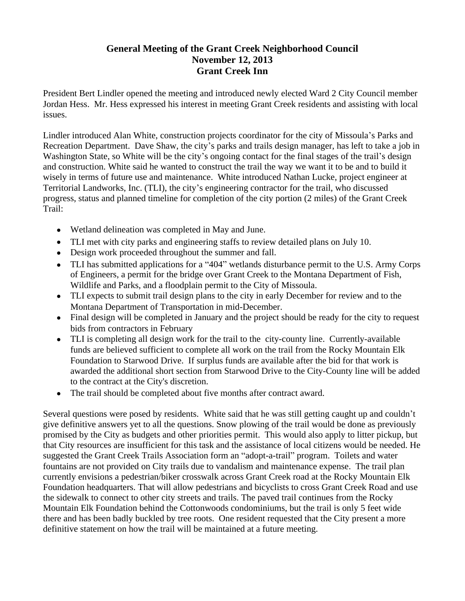## **General Meeting of the Grant Creek Neighborhood Council November 12, 2013 Grant Creek Inn**

President Bert Lindler opened the meeting and introduced newly elected Ward 2 City Council member Jordan Hess. Mr. Hess expressed his interest in meeting Grant Creek residents and assisting with local issues.

Lindler introduced Alan White, construction projects coordinator for the city of Missoula's Parks and Recreation Department. Dave Shaw, the city's parks and trails design manager, has left to take a job in Washington State, so White will be the city's ongoing contact for the final stages of the trail's design and construction. White said he wanted to construct the trail the way we want it to be and to build it wisely in terms of future use and maintenance. White introduced Nathan Lucke, project engineer at Territorial Landworks, Inc. (TLI), the city's engineering contractor for the trail, who discussed progress, status and planned timeline for completion of the city portion (2 miles) of the Grant Creek Trail:

- Wetland delineation was completed in May and June.
- TLI met with city parks and engineering staffs to review detailed plans on July 10.
- Design work proceeded throughout the summer and fall.
- TLI has submitted applications for a "404" wetlands disturbance permit to the U.S. Army Corps of Engineers, a permit for the bridge over Grant Creek to the Montana Department of Fish, Wildlife and Parks, and a floodplain permit to the City of Missoula.
- TLI expects to submit trail design plans to the city in early December for review and to the Montana Department of Transportation in mid-December.
- Final design will be completed in January and the project should be ready for the city to request bids from contractors in February
- TLI is completing all design work for the trail to the city-county line. Currently-available funds are believed sufficient to complete all work on the trail from the Rocky Mountain Elk Foundation to Starwood Drive. If surplus funds are available after the bid for that work is awarded the additional short section from Starwood Drive to the City-County line will be added to the contract at the City's discretion.
- The trail should be completed about five months after contract award.

Several questions were posed by residents. White said that he was still getting caught up and couldn't give definitive answers yet to all the questions. Snow plowing of the trail would be done as previously promised by the City as budgets and other priorities permit. This would also apply to litter pickup, but that City resources are insufficient for this task and the assistance of local citizens would be needed. He suggested the Grant Creek Trails Association form an "adopt-a-trail" program. Toilets and water fountains are not provided on City trails due to vandalism and maintenance expense. The trail plan currently envisions a pedestrian/biker crosswalk across Grant Creek road at the Rocky Mountain Elk Foundation headquarters. That will allow pedestrians and bicyclists to cross Grant Creek Road and use the sidewalk to connect to other city streets and trails. The paved trail continues from the Rocky Mountain Elk Foundation behind the Cottonwoods condominiums, but the trail is only 5 feet wide there and has been badly buckled by tree roots. One resident requested that the City present a more definitive statement on how the trail will be maintained at a future meeting.